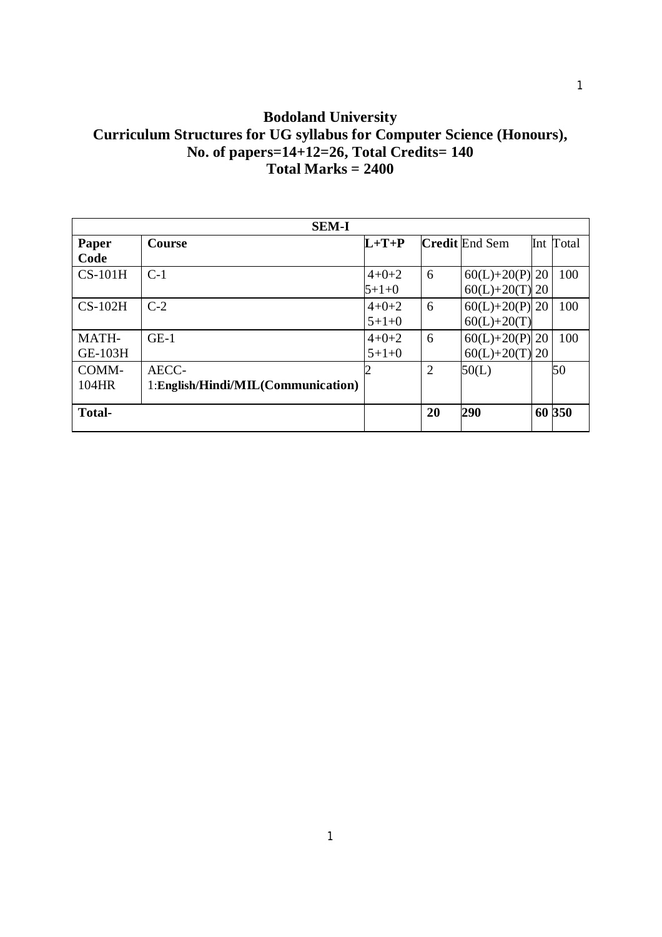# **Bodoland University Curriculum Structures for UG syllabus for Computer Science (Honours), No. of papers=14+12=26, Total Credits= 140 Total Marks = 2400**

|                         | <b>SEM-I</b>                                |                        |                |                                          |           |
|-------------------------|---------------------------------------------|------------------------|----------------|------------------------------------------|-----------|
| Paper<br>Code           | <b>Course</b>                               | $L+T+P$                |                | <b>Credit</b> End Sem                    | Int Total |
| $CS-101H$               | $C-1$                                       | $4 + 0 + 2$<br>$5+1+0$ | 6              | $60(L) + 20(P)$ 20<br>$60(L) + 20(T)$ 20 | 100       |
| $CS-102H$               | $C-2$                                       | $4+0+2$<br>$5+1+0$     | 6              | $60(L) + 20(P)$ 20<br>$60(L) + 20(T)$    | 100       |
| MATH-<br><b>GE-103H</b> | $GE-1$                                      | $4 + 0 + 2$<br>$5+1+0$ | 6              | $60(L) + 20(P)$ 20<br>$60(L) + 20(T)$ 20 | 100       |
| COMM-<br>104HR          | AECC-<br>1:English/Hindi/MIL(Communication) |                        | $\overline{2}$ | 50(L)                                    | 50        |
| <b>Total-</b>           |                                             |                        | 20             | 290                                      | 60 350    |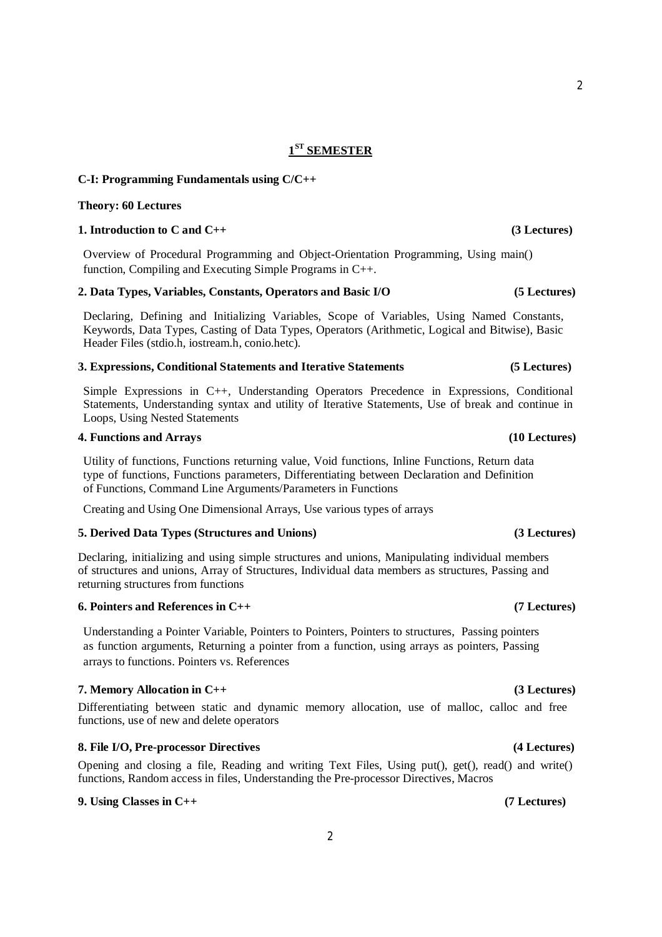# **1 ST SEMESTER**

# **C-I: Programming Fundamentals using C/C++**

### **Theory: 60 Lectures**

## **1. Introduction to C and C++ (3 Lectures)**

Overview of Procedural Programming and Object-Orientation Programming, Using main() function, Compiling and Executing Simple Programs in C++.

### **2. Data Types, Variables, Constants, Operators and Basic I/O (5 Lectures)**

Declaring, Defining and Initializing Variables, Scope of Variables, Using Named Constants, Keywords, Data Types, Casting of Data Types, Operators (Arithmetic, Logical and Bitwise), Basic Header Files (stdio.h, iostream.h, conio.hetc).

### **3. Expressions, Conditional Statements and Iterative Statements (5 Lectures)**

Simple Expressions in C++, Understanding Operators Precedence in Expressions, Conditional Statements, Understanding syntax and utility of Iterative Statements, Use of break and continue in Loops, Using Nested Statements

### **4. Functions and Arrays (10 Lectures)**

Utility of functions, Functions returning value, Void functions, Inline Functions, Return data type of functions, Functions parameters, Differentiating between Declaration and Definition of Functions, Command Line Arguments/Parameters in Functions

Creating and Using One Dimensional Arrays, Use various types of arrays

# **5. Derived Data Types (Structures and Unions) (3 Lectures)**

Declaring, initializing and using simple structures and unions, Manipulating individual members of structures and unions, Array of Structures, Individual data members as structures, Passing and returning structures from functions

### **6. Pointers and References in C++ (7 Lectures)**

Understanding a Pointer Variable, Pointers to Pointers, Pointers to structures, Passing pointers as function arguments, Returning a pointer from a function, using arrays as pointers, Passing arrays to functions. Pointers vs. References

# **7. Memory Allocation in C++ (3 Lectures)**

Differentiating between static and dynamic memory allocation, use of malloc, calloc and free functions, use of new and delete operators

# **8. File I/O, Pre-processor Directives (4 Lectures)**

Opening and closing a file, Reading and writing Text Files, Using put(), get(), read() and write() functions, Random access in files, Understanding the Pre-processor Directives, Macros

# **9. Using Classes in C++ (7 Lectures)**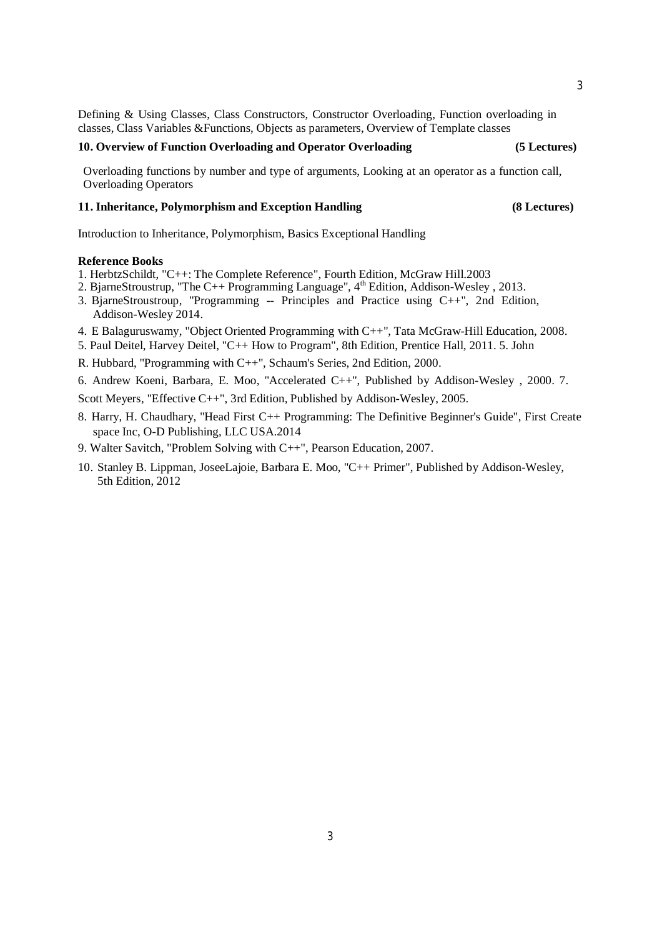Defining & Using Classes, Class Constructors, Constructor Overloading, Function overloading in classes, Class Variables &Functions, Objects as parameters, Overview of Template classes

## **10. Overview of Function Overloading and Operator Overloading (5 Lectures)**

Overloading functions by number and type of arguments, Looking at an operator as a function call, Overloading Operators

# **11. Inheritance, Polymorphism and Exception Handling (8 Lectures)**

Introduction to Inheritance, Polymorphism, Basics Exceptional Handling

### **Reference Books**

- 1. HerbtzSchildt, "C++: The Complete Reference", Fourth Edition, McGraw Hill.2003
- 2. BjarneStroustrup, "The C++ Programming Language", 4<sup>th</sup> Edition, Addison-Wesley , 2013.
- 3. BjarneStroustroup, "Programming -- Principles and Practice using C++", 2nd Edition, Addison-Wesley 2014.
- 4. E Balaguruswamy, "Object Oriented Programming with C++", Tata McGraw-Hill Education, 2008.
- 5. Paul Deitel, Harvey Deitel, "C++ How to Program", 8th Edition, Prentice Hall, 2011. 5. John
- R. Hubbard, "Programming with C++", Schaum's Series, 2nd Edition, 2000.
- 6. Andrew Koeni, Barbara, E. Moo, "Accelerated C++", Published by Addison-Wesley , 2000. 7.
- Scott Meyers, "Effective C++", 3rd Edition, Published by Addison-Wesley, 2005.
- 8. Harry, H. Chaudhary, "Head First C++ Programming: The Definitive Beginner's Guide", First Create space Inc, O-D Publishing, LLC USA.2014
- 9. Walter Savitch, "Problem Solving with C++", Pearson Education, 2007.
- 10. Stanley B. Lippman, JoseeLajoie, Barbara E. Moo, "C++ Primer", Published by Addison-Wesley, 5th Edition, 2012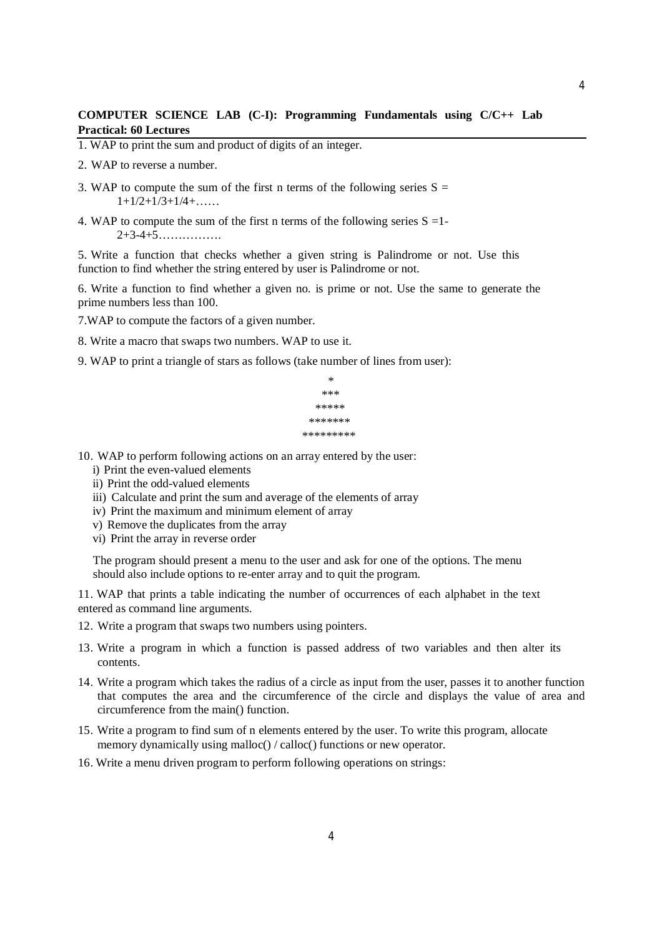# **COMPUTER SCIENCE LAB (C-I): Programming Fundamentals using C/C++ Lab Practical: 60 Lectures**

- 1. WAP to print the sum and product of digits of an integer.
- 2. WAP to reverse a number.
- 3. WAP to compute the sum of the first n terms of the following series  $S =$  $1+1/2+1/3+1/4+\ldots$
- 4. WAP to compute the sum of the first n terms of the following series  $S = 1$ -2+3-4+5…………….

5. Write a function that checks whether a given string is Palindrome or not. Use this function to find whether the string entered by user is Palindrome or not.

6. Write a function to find whether a given no. is prime or not. Use the same to generate the prime numbers less than 100.

7.WAP to compute the factors of a given number.

8. Write a macro that swaps two numbers. WAP to use it.

9. WAP to print a triangle of stars as follows (take number of lines from user):

```
*
    ***
  *****
 *******
*********
```
10. WAP to perform following actions on an array entered by the user:

- i) Print the even-valued elements
- ii) Print the odd-valued elements
- iii) Calculate and print the sum and average of the elements of array
- iv) Print the maximum and minimum element of array
- v) Remove the duplicates from the array
- vi) Print the array in reverse order

The program should present a menu to the user and ask for one of the options. The menu should also include options to re-enter array and to quit the program.

11. WAP that prints a table indicating the number of occurrences of each alphabet in the text entered as command line arguments.

- 12. Write a program that swaps two numbers using pointers.
- 13. Write a program in which a function is passed address of two variables and then alter its contents.
- 14. Write a program which takes the radius of a circle as input from the user, passes it to another function that computes the area and the circumference of the circle and displays the value of area and circumference from the main() function.
- 15. Write a program to find sum of n elements entered by the user. To write this program, allocate memory dynamically using malloc() / calloc() functions or new operator.
- 16. Write a menu driven program to perform following operations on strings: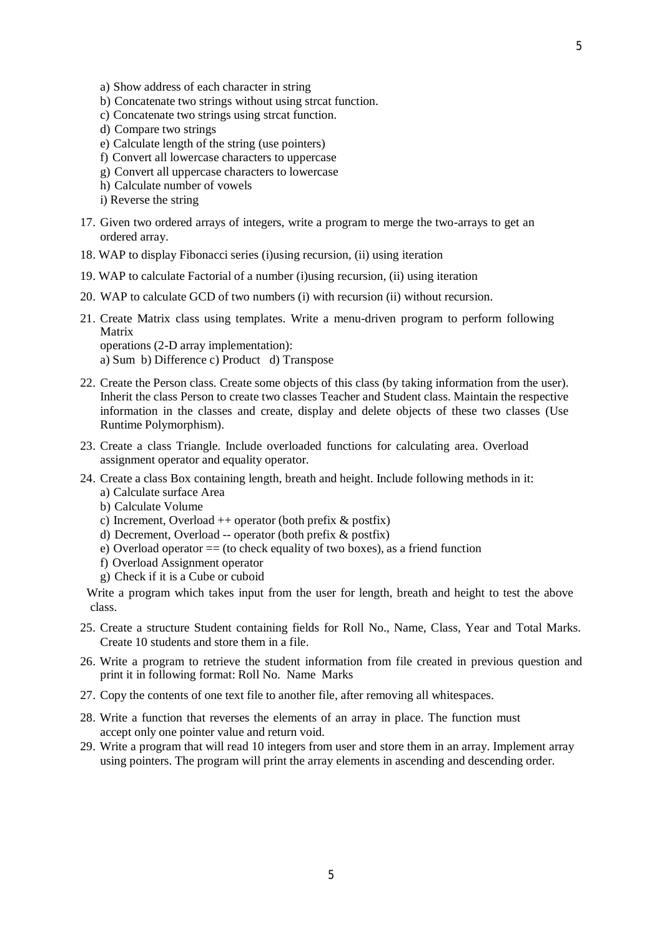- a) Show address of each character in string
- b) Concatenate two strings without using strcat function.
- c) Concatenate two strings using strcat function.
- d) Compare two strings
- e) Calculate length of the string (use pointers)
- f) Convert all lowercase characters to uppercase
- g) Convert all uppercase characters to lowercase
- h) Calculate number of vowels
- i) Reverse the string
- 17. Given two ordered arrays of integers, write a program to merge the two-arrays to get an ordered array.
- 18. WAP to display Fibonacci series (i)using recursion, (ii) using iteration
- 19. WAP to calculate Factorial of a number (i)using recursion, (ii) using iteration
- 20. WAP to calculate GCD of two numbers (i) with recursion (ii) without recursion.
- 21. Create Matrix class using templates. Write a menu-driven program to perform following Matrix operations (2-D array implementation):

a) Sum b) Difference c) Product d) Transpose

- 22. Create the Person class. Create some objects of this class (by taking information from the user). Inherit the class Person to create two classes Teacher and Student class. Maintain the respective information in the classes and create, display and delete objects of these two classes (Use Runtime Polymorphism).
- 23. Create a class Triangle. Include overloaded functions for calculating area. Overload assignment operator and equality operator.
- 24. Create a class Box containing length, breath and height. Include following methods in it:
	- a) Calculate surface Area
	- b) Calculate Volume
	- c) Increment, Overload  $++$  operator (both prefix  $\&$  postfix)
	- d) Decrement, Overload -- operator (both prefix & postfix)
	- e) Overload operator  $=$  (to check equality of two boxes), as a friend function
	- f) Overload Assignment operator
	- g) Check if it is a Cube or cuboid

Write a program which takes input from the user for length, breath and height to test the above class.

- 25. Create a structure Student containing fields for Roll No., Name, Class, Year and Total Marks. Create 10 students and store them in a file.
- 26. Write a program to retrieve the student information from file created in previous question and print it in following format: Roll No. Name Marks
- 27. Copy the contents of one text file to another file, after removing all whitespaces.
- 28. Write a function that reverses the elements of an array in place. The function must accept only one pointer value and return void.
- 29. Write a program that will read 10 integers from user and store them in an array. Implement array using pointers. The program will print the array elements in ascending and descending order.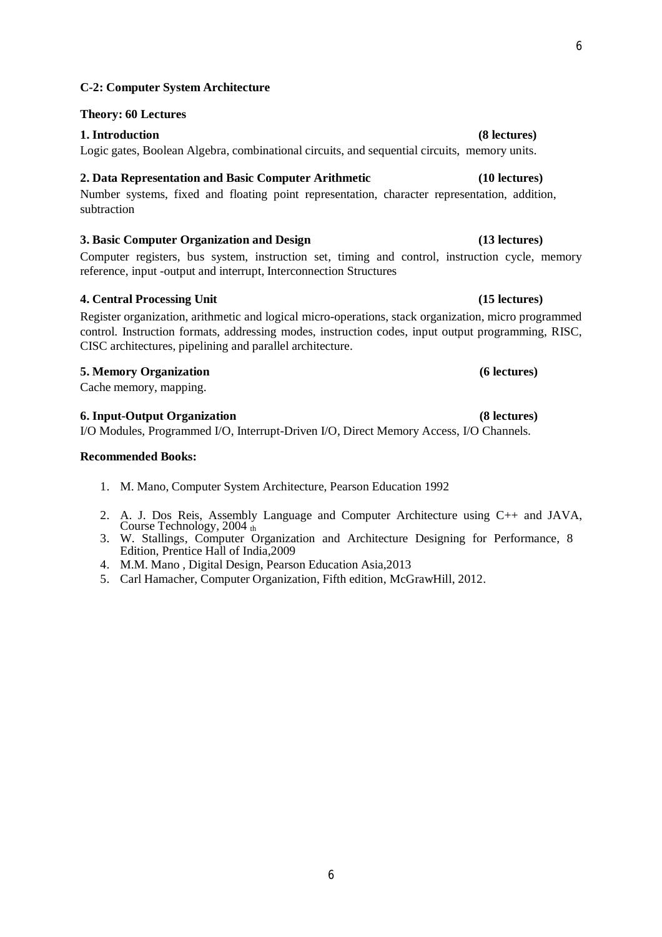# **C-2: Computer System Architecture**

### **Theory: 60 Lectures**

## **1. Introduction (8 lectures)**

Logic gates, Boolean Algebra, combinational circuits, and sequential circuits, memory units.

# **2. Data Representation and Basic Computer Arithmetic (10 lectures)**

Number systems, fixed and floating point representation, character representation, addition, subtraction

# **3. Basic Computer Organization and Design (13 lectures)**

Computer registers, bus system, instruction set, timing and control, instruction cycle, memory reference, input -output and interrupt, Interconnection Structures

# **4. Central Processing Unit (15 lectures)**

Register organization, arithmetic and logical micro-operations, stack organization, micro programmed control. Instruction formats, addressing modes, instruction codes, input output programming, RISC, CISC architectures, pipelining and parallel architecture.

### **5. Memory Organization (6 lectures)**

Cache memory, mapping.

### **6. Input-Output Organization (8 lectures)**

I/O Modules, Programmed I/O, Interrupt-Driven I/O, Direct Memory Access, I/O Channels.

### **Recommended Books:**

- 1. M. Mano, Computer System Architecture, Pearson Education 1992
- 2. A. J. Dos Reis, Assembly Language and Computer Architecture using C++ and JAVA, Course Technology, 2004  $\frac{1}{th}$
- 3. W. Stallings, Computer Organization and Architecture Designing for Performance, 8 Edition, Prentice Hall of India,2009
- 4. M.M. Mano , Digital Design, Pearson Education Asia,2013
- 5. Carl Hamacher, Computer Organization, Fifth edition, McGrawHill, 2012.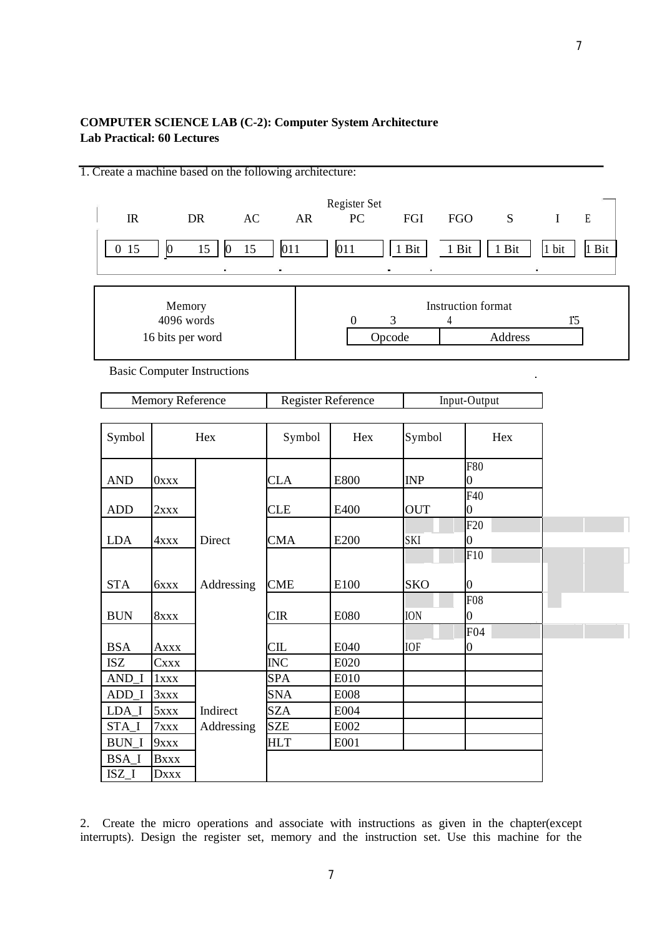# **COMPUTER SCIENCE LAB (C-2): Computer System Architecture Lab Practical: 60 Lectures**

|                             |                                          | 1. Create a machine based on the following architecture: |            |                               |            |                                          |                            |
|-----------------------------|------------------------------------------|----------------------------------------------------------|------------|-------------------------------|------------|------------------------------------------|----------------------------|
| $_{\rm IR}$                 |                                          | DR<br>AC                                                 | AR         | Register Set<br>PC            | FGI        | <b>FGO</b><br>S                          | $\mathbf E$<br>$\mathbf I$ |
| 015                         | $\vert 0 \vert$                          | $\vert 0 \vert$<br>15<br>15                              | 011        | 011                           | $1$ Bit    | 1 Bit<br>1 Bit                           | 1 bit<br>1 Bit             |
|                             |                                          |                                                          |            |                               |            |                                          |                            |
|                             | Memory<br>4096 words<br>16 bits per word |                                                          |            | 3<br>$\overline{0}$<br>Opcode | 4          | Instruction format<br>Address            | 15                         |
|                             |                                          |                                                          |            |                               |            |                                          |                            |
|                             |                                          | <b>Basic Computer Instructions</b>                       |            |                               |            |                                          |                            |
|                             | Memory Reference                         |                                                          |            | Register Reference            |            | Input-Output                             |                            |
|                             |                                          |                                                          |            |                               |            |                                          |                            |
| Symbol                      |                                          | Hex                                                      | Symbol     | Hex                           | Symbol     | Hex                                      |                            |
| <b>AND</b>                  | $0$ xxx                                  |                                                          | <b>CLA</b> | E800                          | INP        | <b>F80</b><br>$\overline{0}$             |                            |
| <b>ADD</b>                  | 2xxx                                     |                                                          | <b>CLE</b> | E400                          | <b>OUT</b> | F40<br>0                                 |                            |
| <b>LDA</b>                  | 4xxx                                     | Direct                                                   | <b>CMA</b> | E200                          | SKI        | F20<br>$\overline{0}$                    |                            |
| <b>STA</b>                  | 6xxx                                     | Addressing                                               | <b>CME</b> | E100                          | <b>SKO</b> | $\overline{F10}$<br>0                    |                            |
| <b>BUN</b>                  | 8xxx                                     |                                                          | <b>CIR</b> | <b>E080</b>                   | <b>ION</b> | F <sub>08</sub><br>$\overline{0}$<br>F04 |                            |
| <b>BSA</b>                  | <b>Axxx</b>                              |                                                          | CL         | E040                          | <b>IOF</b> | $\overline{0}$                           |                            |
| $\ensuremath{\mathsf{ISZ}}$ | <b>Cxxx</b>                              |                                                          | <b>INC</b> | E020                          |            |                                          |                            |
| AND_I                       | 1xxx                                     |                                                          | <b>SPA</b> | E010                          |            |                                          |                            |
| $ADD_I$                     | 3xxx                                     |                                                          | <b>SNA</b> | <b>E008</b>                   |            |                                          |                            |
| $LDA_I$                     | 5xxx                                     | Indirect                                                 | <b>SZA</b> | E004                          |            |                                          |                            |
| STA_I                       | 7xxx                                     | Addressing                                               | <b>SZE</b> | E002                          |            |                                          |                            |
| <b>BUN_I</b>                | <b>9xxx</b>                              |                                                          | <b>HLT</b> | E001                          |            |                                          |                            |
| <b>BSA_I</b>                | <b>Bxxx</b>                              |                                                          |            |                               |            |                                          |                            |
| $ISZ_I$                     | <b>Dxxx</b>                              |                                                          |            |                               |            |                                          |                            |

2. Create the micro operations and associate with instructions as given in the chapter(except interrupts). Design the register set, memory and the instruction set. Use this machine for the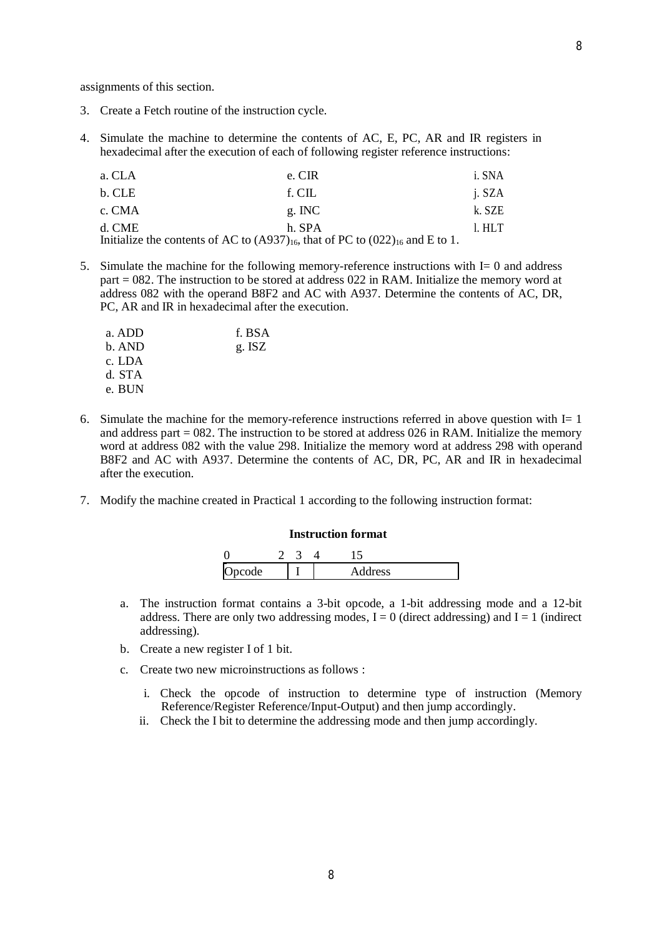- 3. Create a Fetch routine of the instruction cycle.
- 4. Simulate the machine to determine the contents of AC, E, PC, AR and IR registers in hexadecimal after the execution of each of following register reference instructions:

| a. CLA | e. CIR                                                                                  | i. SNA |
|--------|-----------------------------------------------------------------------------------------|--------|
| b. CLE | f. CIL                                                                                  | j. SZA |
| c. CMA | $g$ . INC                                                                               | k. SZE |
| d. CME | h. SPA                                                                                  | 1. HLT |
|        | Initialize the contents of AC to $(A937)_{16}$ , that of PC to $(022)_{16}$ and E to 1. |        |

5. Simulate the machine for the following memory-reference instructions with I= 0 and address part = 082. The instruction to be stored at address 022 in RAM. Initialize the memory word at address 082 with the operand B8F2 and AC with A937. Determine the contents of AC, DR, PC, AR and IR in hexadecimal after the execution.

| a. ADD | f. BSA |
|--------|--------|
| b. AND | g. ISZ |
| c. LDA |        |
| d. STA |        |
| e. BUN |        |

- 6. Simulate the machine for the memory-reference instructions referred in above question with  $I=1$ and address part  $= 082$ . The instruction to be stored at address 026 in RAM. Initialize the memory word at address 082 with the value 298. Initialize the memory word at address 298 with operand B8F2 and AC with A937. Determine the contents of AC, DR, PC, AR and IR in hexadecimal after the execution.
- 7. Modify the machine created in Practical 1 according to the following instruction format:

### **Instruction format**

| code<br>$\sim$<br>$\overline{ }$ |  | ddress |
|----------------------------------|--|--------|

- a. The instruction format contains a 3-bit opcode, a 1-bit addressing mode and a 12-bit address. There are only two addressing modes,  $I = 0$  (direct addressing) and  $I = 1$  (indirect addressing).
- b. Create a new register I of 1 bit.
- c. Create two new microinstructions as follows :
	- i. Check the opcode of instruction to determine type of instruction (Memory Reference/Register Reference/Input-Output) and then jump accordingly.
	- ii. Check the I bit to determine the addressing mode and then jump accordingly.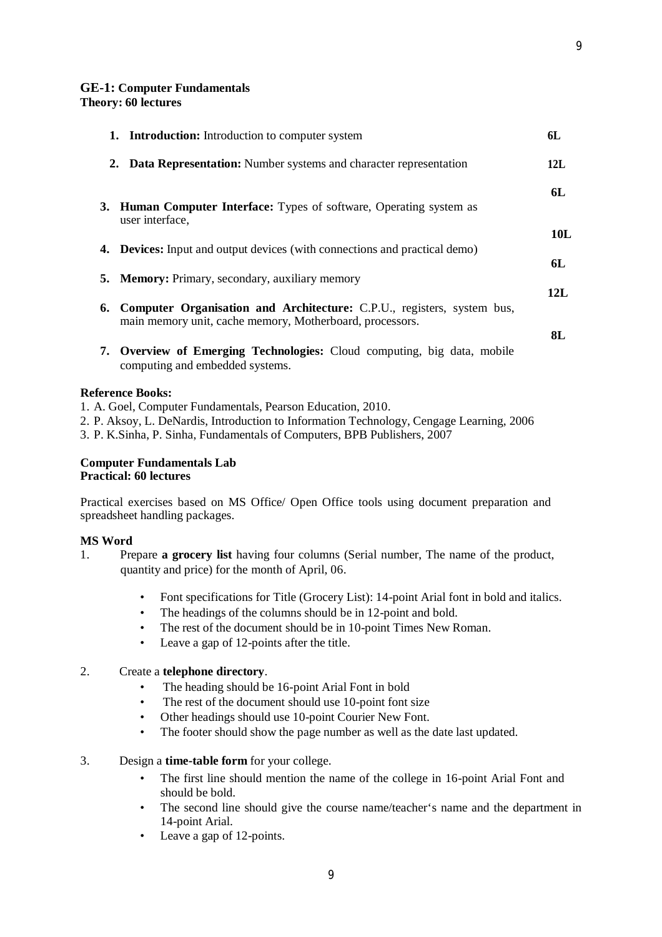### **GE-1: Computer Fundamentals**

**Theory: 60 lectures**

| <b>1.</b> Introduction: Introduction to computer system                                                                                      | 6L        |
|----------------------------------------------------------------------------------------------------------------------------------------------|-----------|
| 2. Data Representation: Number systems and character representation                                                                          | 12L       |
| 3. Human Computer Interface: Types of software, Operating system as<br>user interface,                                                       | 6L        |
| <b>4.</b> Devices: Input and output devices (with connections and practical demo)                                                            | 10L       |
| <b>5. Memory:</b> Primary, secondary, auxiliary memory                                                                                       | 6L<br>12L |
| <b>6. Computer Organisation and Architecture:</b> C.P.U., registers, system bus,<br>main memory unit, cache memory, Motherboard, processors. | 8L        |
| 7. Overview of Emerging Technologies: Cloud computing, big data, mobile<br>computing and embedded systems.                                   |           |
| <b>Reference Books:</b>                                                                                                                      |           |

- 1. A. Goel, Computer Fundamentals, Pearson Education, 2010.
- 2. P. Aksoy, L. DeNardis, Introduction to Information Technology, Cengage Learning, 2006
- 3. P. K.Sinha, P. Sinha, Fundamentals of Computers, BPB Publishers, 2007

# **Computer Fundamentals Lab Practical: 60 lectures**

Practical exercises based on MS Office/ Open Office tools using document preparation and spreadsheet handling packages.

### **MS Word**

- 1. Prepare **a grocery list** having four columns (Serial number, The name of the product, quantity and price) for the month of April, 06.
	- Font specifications for Title (Grocery List): 14-point Arial font in bold and italics.
	- The headings of the columns should be in 12-point and bold.
	- The rest of the document should be in 10-point Times New Roman.
	- Leave a gap of 12-points after the title.

### 2. Create a **telephone directory**.

- The heading should be 16-point Arial Font in bold
- The rest of the document should use 10-point font size
- Other headings should use 10-point Courier New Font.
- The footer should show the page number as well as the date last updated.
- 3. Design a **time-table form** for your college.
	- The first line should mention the name of the college in 16-point Arial Font and should be bold.
	- The second line should give the course name/teacher's name and the department in 14-point Arial.
	- Leave a gap of 12-points.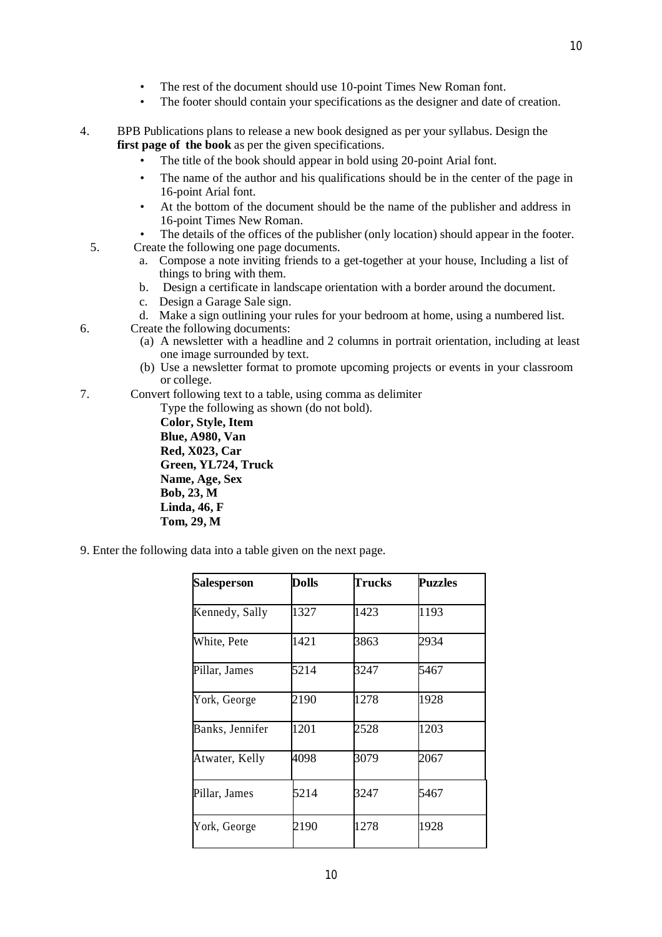- The rest of the document should use 10-point Times New Roman font.
- The footer should contain your specifications as the designer and date of creation.
- 4. BPB Publications plans to release a new book designed as per your syllabus. Design the **first page of the book** as per the given specifications.
	- The title of the book should appear in bold using 20-point Arial font.
	- The name of the author and his qualifications should be in the center of the page in 16-point Arial font.
	- At the bottom of the document should be the name of the publisher and address in 16-point Times New Roman.
	- The details of the offices of the publisher (only location) should appear in the footer.
	- 5. Create the following one page documents.
		- a. Compose a note inviting friends to a get-together at your house, Including a list of things to bring with them.
		- b. Design a certificate in landscape orientation with a border around the document.
		- c. Design a Garage Sale sign.
		- d. Make a sign outlining your rules for your bedroom at home, using a numbered list.
- 6. Create the following documents:

**Tom, 29, M**

- (a) A newsletter with a headline and 2 columns in portrait orientation, including at least one image surrounded by text.
- (b) Use a newsletter format to promote upcoming projects or events in your classroom or college.
- 7. Convert following text to a table, using comma as delimiter

Type the following as shown (do not bold). **Color, Style, Item Blue, A980, Van Red, X023, Car Green, YL724, Truck Name, Age, Sex Bob, 23, M Linda, 46, F**

9. Enter the following data into a table given on the next page.

| <b>Salesperson</b> | <b>Dolls</b> | Trucks | <b>Puzzles</b> |
|--------------------|--------------|--------|----------------|
| Kennedy, Sally     | 1327         | 1423   | 1193           |
| White, Pete        | 1421         | 3863   | 2934           |
| Pillar, James      | 5214         | 3247   | 5467           |
| York, George       | 2190         | 1278   | 1928           |
| Banks, Jennifer    | 1201         | 2528   | 1203           |
| Atwater, Kelly     | 4098         | 3079   | 2067           |
| Pillar, James      | 5214         | 3247   | 5467           |
| York, George       | 2190         | 1278   | 1928           |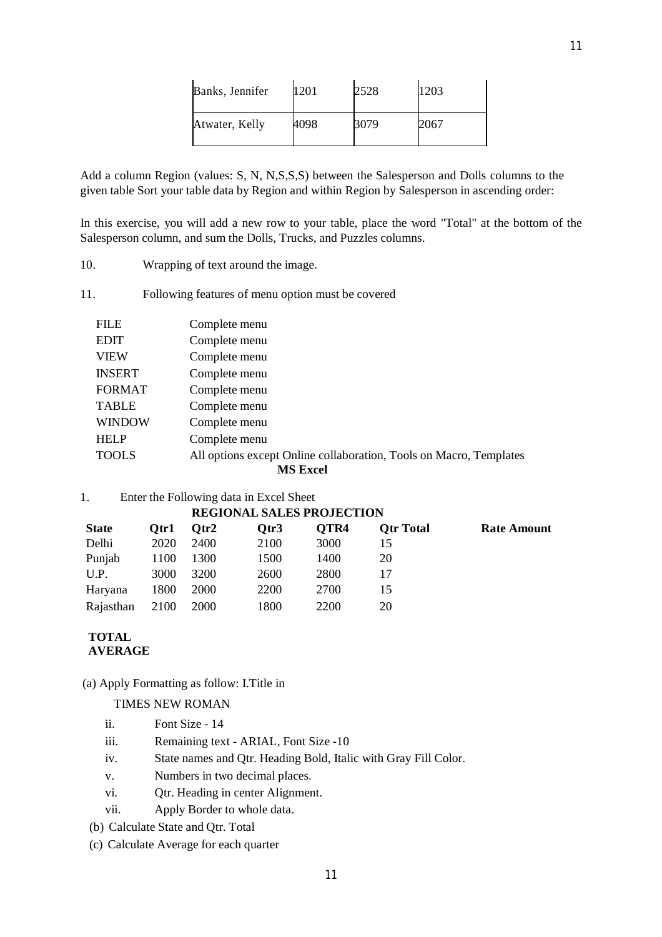| Banks, Jennifer | 1201 | 2528 | 1203 |
|-----------------|------|------|------|
| Atwater, Kelly  | 4098 | 3079 | 2067 |

Add a column Region (values: S, N, N,S,S,S) between the Salesperson and Dolls columns to the given table Sort your table data by Region and within Region by Salesperson in ascending order:

In this exercise, you will add a new row to your table, place the word "Total" at the bottom of the Salesperson column, and sum the Dolls, Trucks, and Puzzles columns.

- 10. Wrapping of text around the image.
- 11. Following features of menu option must be covered

| <b>FILE</b>     | Complete menu                                                      |  |  |  |
|-----------------|--------------------------------------------------------------------|--|--|--|
| <b>EDIT</b>     | Complete menu                                                      |  |  |  |
| <b>VIEW</b>     | Complete menu                                                      |  |  |  |
| <b>INSERT</b>   | Complete menu                                                      |  |  |  |
| <b>FORMAT</b>   | Complete menu                                                      |  |  |  |
| <b>TABLE</b>    | Complete menu                                                      |  |  |  |
| <b>WINDOW</b>   | Complete menu                                                      |  |  |  |
| <b>HELP</b>     | Complete menu                                                      |  |  |  |
| <b>TOOLS</b>    | All options except Online collaboration, Tools on Macro, Templates |  |  |  |
| <b>MS Excel</b> |                                                                    |  |  |  |

1. Enter the Following data in Excel Sheet

### **REGIONAL SALES PROJECTION**

| <b>State</b> | Otr1 | Otr2        | Otr3 | OTR4 | <b>Otr Total</b> | Rate Amount |
|--------------|------|-------------|------|------|------------------|-------------|
| Delhi        | 2020 | 2400        | 2100 | 3000 | 15               |             |
| Punjab       | 1100 | 1300        | 1500 | 1400 | 20               |             |
| U.P.         | 3000 | 3200        | 2600 | 2800 |                  |             |
| Haryana      | 1800 | 2000        | 2200 | 2700 |                  |             |
| Rajasthan    | 2100 | <b>2000</b> | 1800 | 2200 | 20               |             |

# **TOTAL AVERAGE**

(a) Apply Formatting as follow: I.Title in

# TIMES NEW ROMAN

- ii. Font Size 14
- iii. Remaining text ARIAL, Font Size -10
- iv. State names and Qtr. Heading Bold, Italic with Gray Fill Color.
- v. Numbers in two decimal places.
- vi. Qtr. Heading in center Alignment.
- vii. Apply Border to whole data.
- (b) Calculate State and Qtr. Total
- (c) Calculate Average for each quarter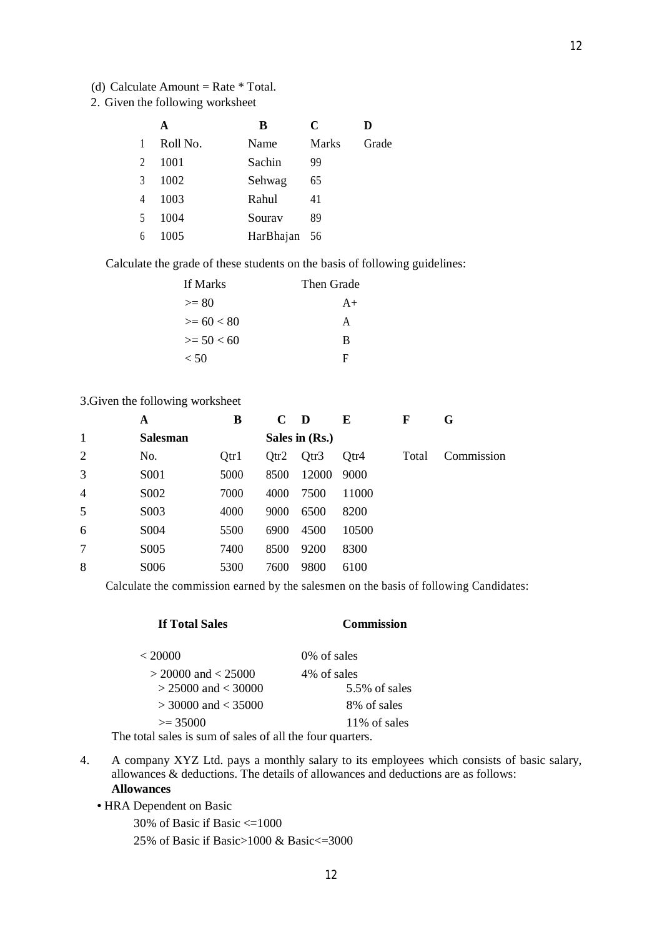- (d) Calculate Amount = Rate  $*$  Total.
- 2. Given the following worksheet

|                | A        | B            | C     |       |
|----------------|----------|--------------|-------|-------|
|                | Roll No. | Name         | Marks | Grade |
| $\overline{2}$ | 1001     | Sachin       | 99    |       |
| $\mathcal{R}$  | 1002     | Sehwag       | 65    |       |
| 4              | 1003     | Rahul        | 41    |       |
| $\sim$         | 1004     | Sourav       | 89    |       |
| 6              | 1005     | HarBhajan 56 |       |       |

Calculate the grade of these students on the basis of following guidelines:

| If Marks     | Then Grade |
|--------------|------------|
| $>= 80$      | $A+$       |
| $>= 60 < 80$ | A          |
| $>= 50 < 60$ | B          |
| < 50         | Ħ          |

# 3.Given the following worksheet

|                | A                | В    | $\mathbf C$ | D              | E     | F     | G          |
|----------------|------------------|------|-------------|----------------|-------|-------|------------|
| 1              | <b>Salesman</b>  |      |             | Sales in (Rs.) |       |       |            |
| 2              | No.              | Qtr1 | Qtr2        | Qtr3           | Qtr4  | Total | Commission |
| 3              | S <sub>001</sub> | 5000 | 8500        | 12000          | 9000  |       |            |
| $\overline{4}$ | S002             | 7000 | 4000        | 7500           | 11000 |       |            |
| 5              | S <sub>003</sub> | 4000 | 9000        | 6500           | 8200  |       |            |
| 6              | S004             | 5500 | 6900        | 4500           | 10500 |       |            |
| 7              | S005             | 7400 | 8500        | 9200           | 8300  |       |            |
| 8              | S006             | 5300 | 7600        | 9800           | 6100  |       |            |

Calculate the commission earned by the salesmen on the basis of following Candidates:

# **If Total Sales Commission**

# $\langle 20000 \rangle$  0% of sales  $>$  20000 and  $<$  25000 4% of sales<br> $>$  25000 and  $<$  30000 5.5% of sales  $> 25000$  and  $< 30000$  $> 30000$  and  $< 35000$  8% of sales  $>= 35000$  11% of sales

The total sales is sum of sales of all the four quarters.

4. A company XYZ Ltd. pays a monthly salary to its employees which consists of basic salary, allowances & deductions. The details of allowances and deductions are as follows: **Allowances**

**•** HRA Dependent on Basic

30% of Basic if Basic  $\leq 1000$ 

25% of Basic if Basic>1000 & Basic<=3000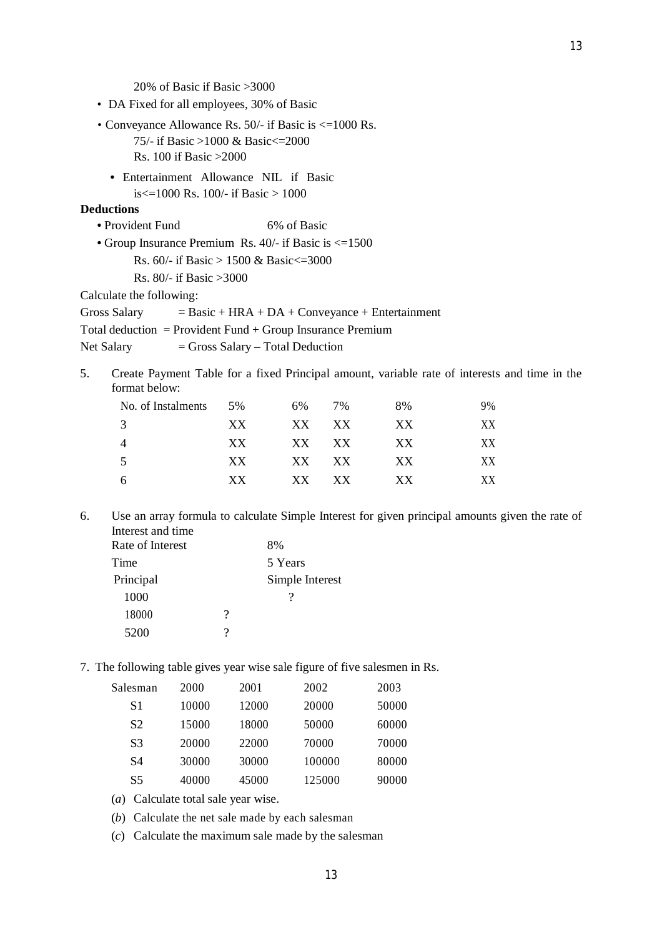20% of Basic if Basic >3000

- DA Fixed for all employees, 30% of Basic
- Conveyance Allowance Rs. 50/- if Basic is <=1000 Rs. 75/- if Basic >1000 & Basic<=2000 Rs. 100 if Basic >2000
	- Entertainment Allowance NIL if Basic is $\leq$ =1000 Rs. 100/- if Basic > 1000

## **Deductions**

- Provident Fund 6% of Basic
- Group Insurance Premium Rs. 40/- if Basic is <=1500
	- Rs. 60/- if Basic > 1500 & Basic<=3000
	- Rs. 80/- if Basic >3000

Calculate the following:

Gross Salary  $=$  Basic + HRA + DA + Conveyance + Entertainment

- Total deduction = Provident Fund + Group Insurance Premium
- Net Salary  $=$  Gross Salary Total Deduction
- 5. Create Payment Table for a fixed Principal amount, variable rate of interests and time in the format below:

| No. of Instalments 5% |      | 6% 7% | 8% | 9%  |
|-----------------------|------|-------|----|-----|
| 3                     | XX.  | XX XX | XX | XX. |
| 4                     | XX - | XX XX | XX | XX  |
| 5                     | XX.  | XX XX | XX | XX. |
| 6.                    | XX   | XX XX | XX | XX. |

6. Use an array formula to calculate Simple Interest for given principal amounts given the rate of Interest and time

| Rate of Interest |                     | 8%              |
|------------------|---------------------|-----------------|
| Time             |                     | 5 Years         |
| Principal        |                     | Simple Interest |
| 1000             |                     |                 |
| 18000            | $\boldsymbol{\eta}$ |                 |
| 5200             | 9                   |                 |

7. The following table gives year wise sale figure of five salesmen in Rs.

| Salesman       | 2000  | 2001  | 2002   | 2003  |
|----------------|-------|-------|--------|-------|
| S1             | 10000 | 12000 | 20000  | 50000 |
| S <sub>2</sub> | 15000 | 18000 | 50000  | 60000 |
| S3             | 20000 | 22000 | 70000  | 70000 |
| S4             | 30000 | 30000 | 100000 | 80000 |
| S5             | 40000 | 45000 | 125000 | 90000 |
|                |       |       |        |       |

- (*a*) Calculate total sale year wise.
- (*b*) Calculate the net sale made by each salesman

(*c*) Calculate the maximum sale made by the salesman